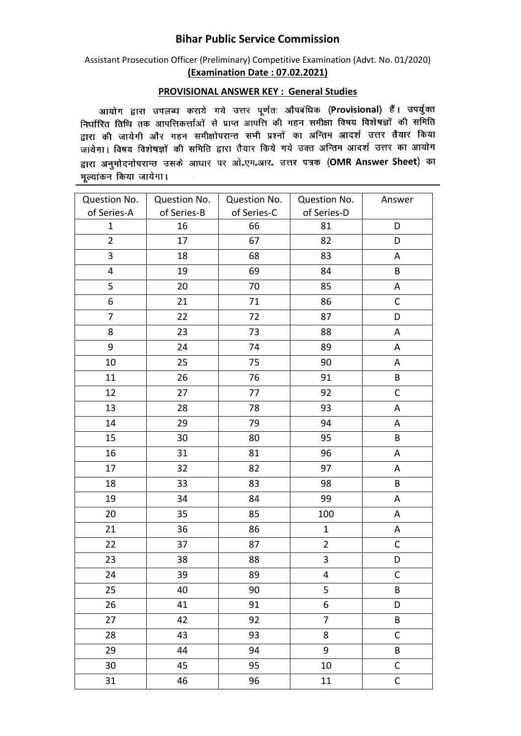## **Bihar Public Service Commission**

Assistant Prosecution Officer (Preliminary) Competitive Examination (Advt. No. 01/2020) **(Examination Date : 07.02.2021)**

## **PROVISIONAL ANSWER KEY : General Studies**

आयोग द्वारा उपलब्ध कराये गये उत्तर पूर्णतः औपबंधिक (Provisional) हैं। उपर्युक्त लिर्घारित तिथि तक आपत्तिकर्त्ताओं से प्राप्त आपत्ति की गहन समीक्षा विषय विशेषज्ञों की समिति समारत तांचे तेर जानारारणीली ते आते. समारत मेरे में समारा समारा समारा करते हैं।<br>द्वारा की जायेगी और गहन समीक्षोपरान्त सभी प्रश्नों का अन्तिम आदर्श उत्तर तैयार किया जायेगा। विषय विशेषज्ञों की समिति द्वारा तैयार किये गये उक्त अन्तिम आदर्श उत्तर का आयोग द्वारा अनुमोदनोपरान्त उसके आधार पर ओ.एम.आर. उत्तर पत्रक (OMR Answer Sheet) का मुल्यांकन किया जायेगा।

| Question No.            | Question No. | Question No. | Question No.   | Answer       |
|-------------------------|--------------|--------------|----------------|--------------|
| of Series-A             | of Series-B  | of Series-C  | of Series-D    |              |
| $\mathbf{1}$            | 16           | 66           | 81             | D            |
| $\overline{2}$          | 17           | 67           | 82             | D            |
| 3                       | 18           | 68           | 83             | A            |
| $\overline{\mathbf{4}}$ | 19           | 69           | 84             | $\sf B$      |
| $\mathsf S$             | 20           | 70           | 85             | A            |
| 6                       | 21           | 71           | 86             | $\mathsf C$  |
| $\overline{7}$          | 22           | 72           | 87             | D            |
| 8                       | 23           | 73           | 88             | Α            |
| 9                       | 24           | 74           | 89             | A            |
| 10                      | 25           | 75           | 90             | A            |
| 11                      | 26           | 76           | 91             | $\sf B$      |
| 12                      | 27           | 77           | 92             | $\mathsf{C}$ |
| 13                      | 28           | 78           | 93             | Α            |
| 14                      | 29           | 79           | 94             | Α            |
| 15                      | 30           | 80           | 95             | B            |
| 16                      | 31           | 81           | 96             | Α            |
| 17                      | 32           | 82           | 97             | Α            |
| 18                      | 33           | 83           | 98             | B            |
| 19                      | 34           | 84           | 99             | A            |
| 20                      | 35           | 85           | 100            | A            |
| 21                      | 36           | 86           | $\mathbf{1}$   | A            |
| 22                      | 37           | 87           | $\overline{2}$ | C            |
| 23                      | 38           | 88           | 3              | D            |
| 24                      | 39           | 89           | 4              | $\mathsf C$  |
| 25                      | 40           | 90           | 5              | B            |
| 26                      | 41           | 91           | 6              | D            |
| 27                      | 42           | 92           | $\overline{7}$ | $\sf{B}$     |
| 28                      | 43           | 93           | 8              | $\mathsf C$  |
| 29                      | 44           | 94           | 9              | B            |
| 30                      | 45           | 95           | $10\,$         | $\mathsf C$  |
| 31                      | 46           | 96           | 11             | $\mathsf C$  |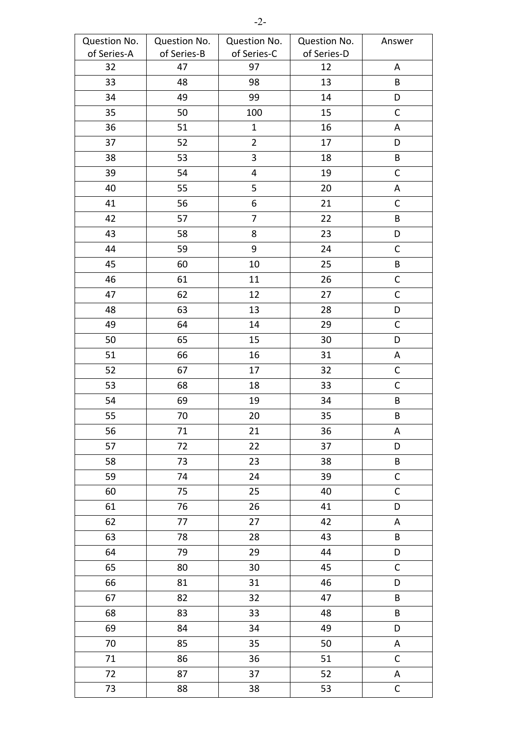| Question No. | Question No. | Question No.   | Question No. | Answer      |
|--------------|--------------|----------------|--------------|-------------|
| of Series-A  | of Series-B  | of Series-C    | of Series-D  |             |
| 32           | 47           | 97             | 12           | Α           |
| 33           | 48           | 98             | 13           | B           |
| 34           | 49           | 99             | 14           | D           |
| 35           | 50           | 100            | 15           | $\mathsf C$ |
| 36           | 51           | $\mathbf 1$    | 16           | Α           |
| 37           | 52           | $\overline{2}$ | 17           | D           |
| 38           | 53           | $\overline{3}$ | 18           | $\sf{B}$    |
| 39           | 54           | $\pmb{4}$      | 19           | $\mathsf C$ |
| 40           | 55           | 5              | 20           | A           |
| 41           | 56           | 6              | 21           | $\mathsf C$ |
| 42           | 57           | $\overline{7}$ | 22           | B           |
| 43           | 58           | 8              | 23           | D           |
| 44           | 59           | 9              | 24           | $\mathsf C$ |
| 45           | 60           | 10             | 25           | $\sf{B}$    |
| 46           | 61           | 11             | 26           | $\mathsf C$ |
| 47           | 62           | 12             | 27           | $\mathsf C$ |
| 48           | 63           | 13             | 28           | D           |
| 49           | 64           | 14             | 29           | $\mathsf C$ |
| 50           | 65           | 15             | 30           | D           |
| 51           | 66           | 16             | 31           | A           |
| 52           | 67           | 17             | 32           | $\mathsf C$ |
| 53           | 68           | 18             | 33           | $\mathsf C$ |
| 54           | 69           | 19             | 34           | $\sf B$     |
| 55           | 70           | 20             | 35           | $\sf B$     |
| 56           | 71           | 21             | 36           | А           |
| 57           | 72           | 22             | 37           | D           |
| 58           | 73           | 23             | 38           | $\sf B$     |
| 59           | 74           | 24             | 39           | $\mathsf C$ |
| 60           | 75           | 25             | 40           | $\mathsf C$ |
| 61           | 76           | 26             | 41           | D           |
| 62           | 77           | 27             | 42           | A           |
| 63           | 78           | 28             | 43           | B           |
| 64           | 79           | 29             | 44           | D           |
| 65           | 80           | 30             | 45           | $\mathsf C$ |
| 66           | 81           | 31             | 46           | D           |
| 67           | 82           | 32             | 47           | B           |
| 68           | 83           | 33             | 48           | $\sf{B}$    |
| 69           | 84           | 34             | 49           | D           |
| 70           | 85           | 35             | 50           | А           |
| 71           | 86           | 36             | 51           | $\mathsf C$ |
| 72           | 87           | 37             | 52           | Α           |
| 73           | 88           | 38             | 53           | $\mathsf C$ |